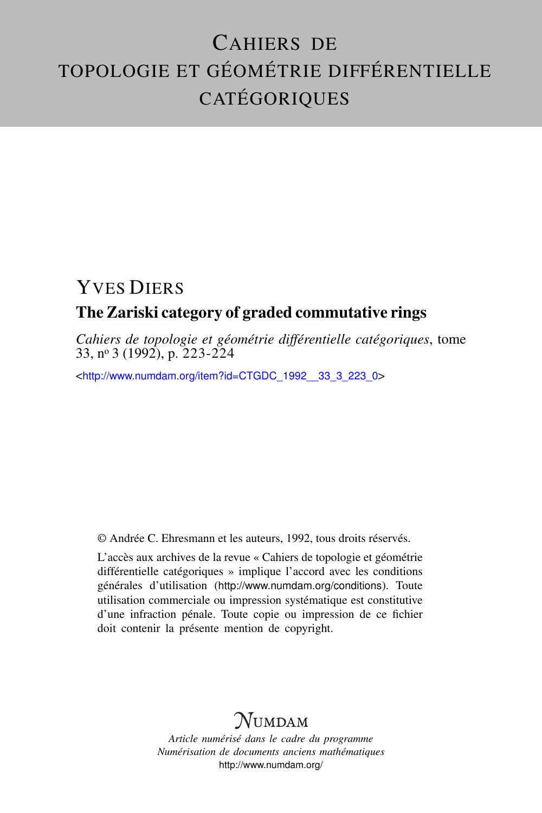## CAHIERS DE TOPOLOGIE ET GÉOMÉTRIE DIFFÉRENTIELLE CATÉGORIQUES

#### YVES DIERS The Zariski category of graded commutative rings

*Cahiers de topologie et géométrie différentielle catégoriques*, tome 33, n<sup>o</sup> 3 (1992), p. 223-224

<[http://www.numdam.org/item?id=CTGDC\\_1992\\_\\_33\\_3\\_223\\_0](http://www.numdam.org/item?id=CTGDC_1992__33_3_223_0)>

© Andrée C. Ehresmann et les auteurs, 1992, tous droits réservés.

L'accès aux archives de la revue « Cahiers de topologie et géométrie différentielle catégoriques » implique l'accord avec les conditions générales d'utilisation (<http://www.numdam.org/conditions>). Toute utilisation commerciale ou impression systématique est constitutive d'une infraction pénale. Toute copie ou impression de ce fichier doit contenir la présente mention de copyright.

### **NUMDAM**

*Article numérisé dans le cadre du programme Numérisation de documents anciens mathématiques* <http://www.numdam.org/>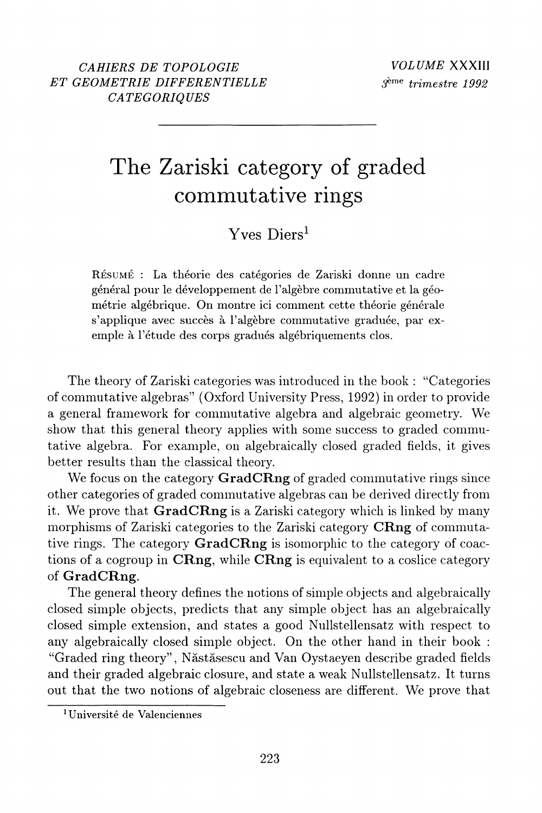# The Zariski category of graded commutative rings

#### Yves Diers<sup>1</sup>

RÉSUMÉ : La théorie des catégories de Zariski donne un cadre général pour le développement de l'algèbre commutative et la géométrie algébrique. On montre ici comment cette théorie générale s'applique avec succès à l'algèbre commutative graduée, par exemple à l'étude des corps gradués algébriquements clos.

The theory of Zariski categories was introduced in the book: "Categories" of commutative algebras" (Oxford University Press, 1992) in order to provide a general framework for commutative algebra and algebraic geometry. We show that this general theory applies with some success to graded commutative algebra. For example, on algebraically closed graded fields, it gives better results than the classical theory.

We focus on the category GradCRng of graded commutative rings since other categories of graded commutative algebras can be derived directly from it. We prove that **GradCRng** is a Zariski category which is linked by many morphisms of Zariski categories to the Zariski category CRng of commutative rings. The category **GradCRng** is isomorphic to the category of coactions of a cogroup in CRng, while CRng is equivalent to a coslice category of GradCRng.

The general theory defines the notions of simple objects and algebraically closed simple objects, predicts that any simple object has an algebraically closed simple extension, and states a good Nullstellensatz with respect to any algebraically closed simple object. On the other hand in their book: "Graded ring theory", Năstăsescu and Van Oystaeven describe graded fields and their graded algebraic closure, and state a weak Nullstellensatz. It turns out that the two notions of algebraic closeness are different. We prove that

<sup>&</sup>lt;sup>1</sup>Université de Valenciennes